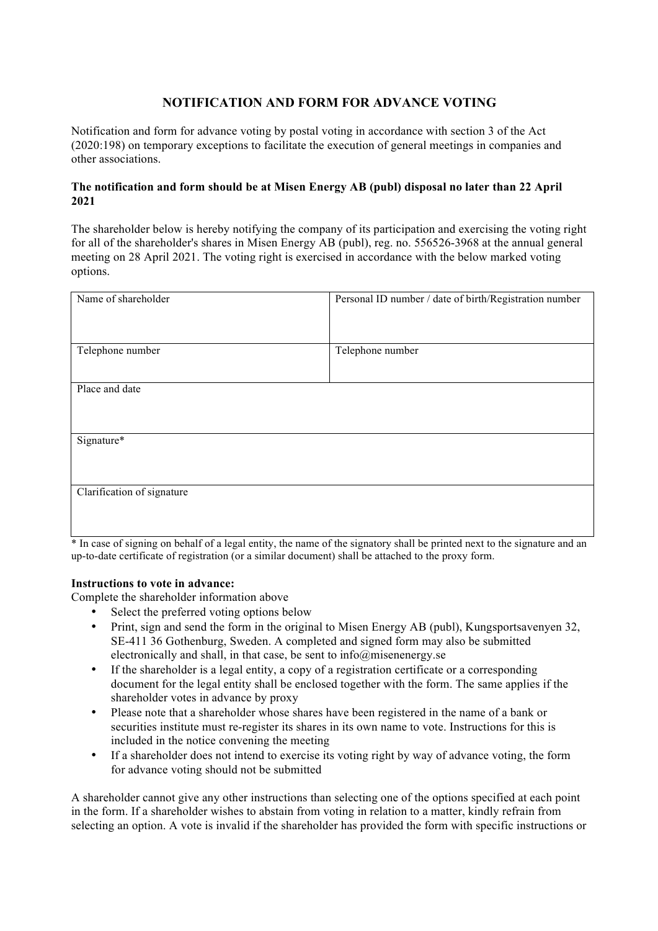### **NOTIFICATION AND FORM FOR ADVANCE VOTING**

Notification and form for advance voting by postal voting in accordance with section 3 of the Act (2020:198) on temporary exceptions to facilitate the execution of general meetings in companies and other associations.

#### **The notification and form should be at Misen Energy AB (publ) disposal no later than 22 April 2021**

The shareholder below is hereby notifying the company of its participation and exercising the voting right for all of the shareholder's shares in Misen Energy AB (publ), reg. no. 556526-3968 at the annual general meeting on 28 April 2021. The voting right is exercised in accordance with the below marked voting options.

| Name of shareholder        | Personal ID number / date of birth/Registration number |
|----------------------------|--------------------------------------------------------|
| Telephone number           | Telephone number                                       |
|                            |                                                        |
| Place and date             |                                                        |
|                            |                                                        |
| Signature*                 |                                                        |
|                            |                                                        |
| Clarification of signature |                                                        |
|                            |                                                        |

\* In case of signing on behalf of a legal entity, the name of the signatory shall be printed next to the signature and an up-to-date certificate of registration (or a similar document) shall be attached to the proxy form.

#### **Instructions to vote in advance:**

Complete the shareholder information above

- Select the preferred voting options below
- Print, sign and send the form in the original to Misen Energy AB (publ), Kungsportsavenyen 32, SE-411 36 Gothenburg, Sweden. A completed and signed form may also be submitted electronically and shall, in that case, be sent to info@misenenergy.se
- If the shareholder is a legal entity, a copy of a registration certificate or a corresponding document for the legal entity shall be enclosed together with the form. The same applies if the shareholder votes in advance by proxy
- Please note that a shareholder whose shares have been registered in the name of a bank or securities institute must re-register its shares in its own name to vote. Instructions for this is included in the notice convening the meeting
- If a shareholder does not intend to exercise its voting right by way of advance voting, the form for advance voting should not be submitted

A shareholder cannot give any other instructions than selecting one of the options specified at each point in the form. If a shareholder wishes to abstain from voting in relation to a matter, kindly refrain from selecting an option. A vote is invalid if the shareholder has provided the form with specific instructions or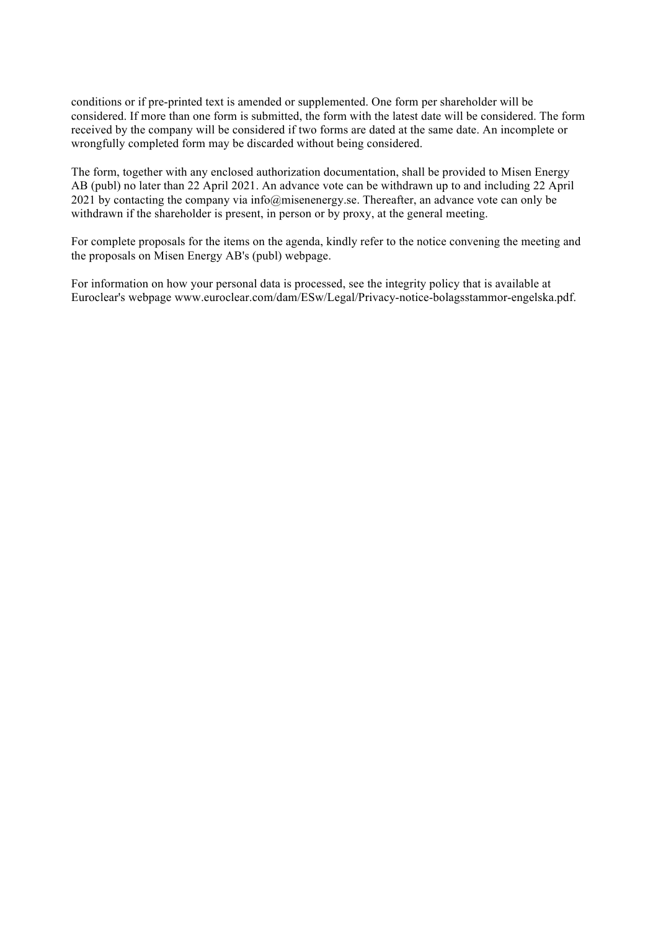conditions or if pre-printed text is amended or supplemented. One form per shareholder will be considered. If more than one form is submitted, the form with the latest date will be considered. The form received by the company will be considered if two forms are dated at the same date. An incomplete or wrongfully completed form may be discarded without being considered.

The form, together with any enclosed authorization documentation, shall be provided to Misen Energy AB (publ) no later than 22 April 2021. An advance vote can be withdrawn up to and including 22 April 2021 by contacting the company via info@misenenergy.se. Thereafter, an advance vote can only be withdrawn if the shareholder is present, in person or by proxy, at the general meeting.

For complete proposals for the items on the agenda, kindly refer to the notice convening the meeting and the proposals on Misen Energy AB's (publ) webpage.

For information on how your personal data is processed, see the integrity policy that is available at Euroclear's webpage www.euroclear.com/dam/ESw/Legal/Privacy-notice-bolagsstammor-engelska.pdf.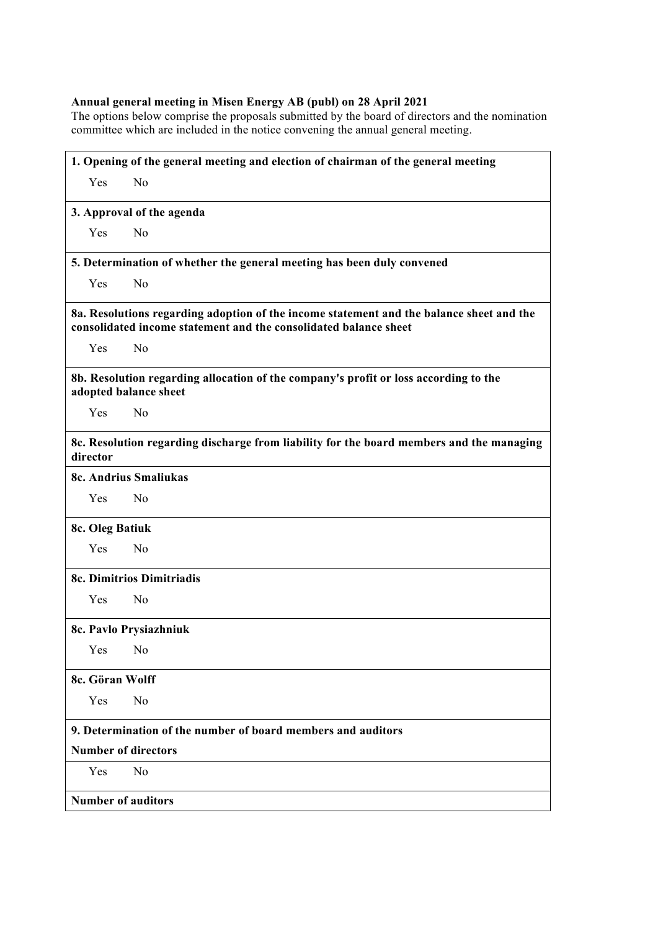#### **Annual general meeting in Misen Energy AB (publ) on 28 April 2021**

The options below comprise the proposals submitted by the board of directors and the nomination committee which are included in the notice convening the annual general meeting.

| 1. Opening of the general meeting and election of chairman of the general meeting                                                                            |  |
|--------------------------------------------------------------------------------------------------------------------------------------------------------------|--|
| Yes<br>N <sub>0</sub>                                                                                                                                        |  |
| 3. Approval of the agenda                                                                                                                                    |  |
| No<br>Yes                                                                                                                                                    |  |
| 5. Determination of whether the general meeting has been duly convened                                                                                       |  |
| N <sub>0</sub><br>Yes                                                                                                                                        |  |
| 8a. Resolutions regarding adoption of the income statement and the balance sheet and the<br>consolidated income statement and the consolidated balance sheet |  |
| Yes<br>N <sub>0</sub>                                                                                                                                        |  |
| 8b. Resolution regarding allocation of the company's profit or loss according to the<br>adopted balance sheet                                                |  |
| N <sub>0</sub><br>Yes                                                                                                                                        |  |
| 8c. Resolution regarding discharge from liability for the board members and the managing<br>director                                                         |  |
| 8c. Andrius Smaliukas                                                                                                                                        |  |
| N <sub>0</sub><br>Yes                                                                                                                                        |  |
| 8c. Oleg Batiuk                                                                                                                                              |  |
| N <sub>o</sub><br>Yes                                                                                                                                        |  |
| 8c. Dimitrios Dimitriadis                                                                                                                                    |  |
| Yes<br>N <sub>0</sub>                                                                                                                                        |  |
| 8c. Pavlo Prysiazhniuk                                                                                                                                       |  |
| Yes<br>No                                                                                                                                                    |  |
| 8c. Göran Wolff                                                                                                                                              |  |
| N <sub>0</sub><br>Yes                                                                                                                                        |  |
| 9. Determination of the number of board members and auditors                                                                                                 |  |
| <b>Number of directors</b>                                                                                                                                   |  |
| No<br>Yes                                                                                                                                                    |  |
| <b>Number of auditors</b>                                                                                                                                    |  |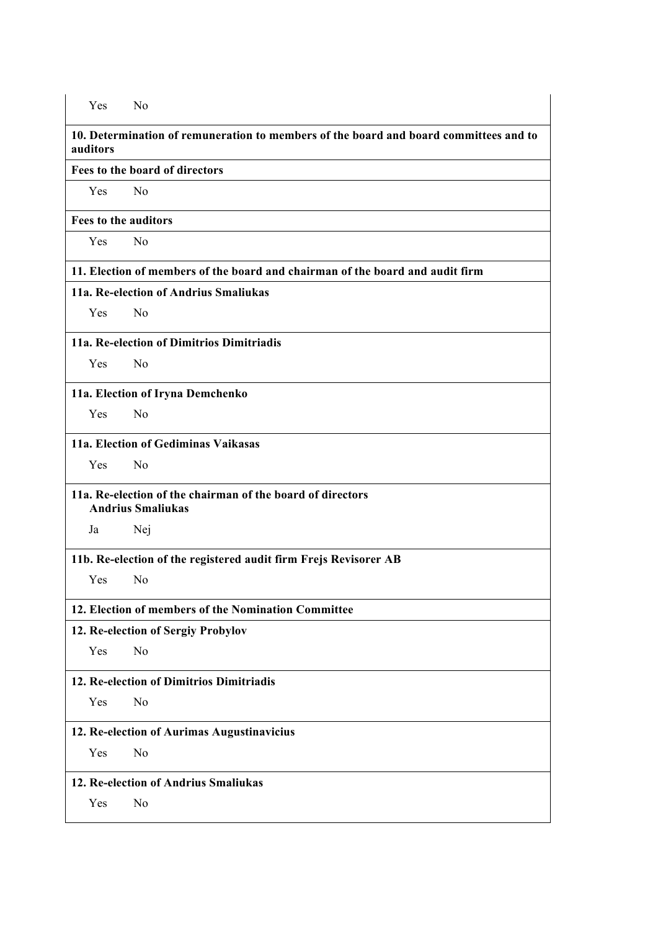**10. Determination of remuneration to members of the board and board committees and to auditors**

**Fees to the board of directors**

Yes No

**Fees to the auditors**

Yes No

**11. Election of members of the board and chairman of the board and audit firm**

**11a. Re-election of Andrius Smaliukas**

Yes No

**11a. Re-election of Dimitrios Dimitriadis**

Yes No

**11a. Election of Iryna Demchenko**

Yes No

### **11a. Election of Gediminas Vaikasas**

Yes No

### **11a. Re-election of the chairman of the board of directors Andrius Smaliukas**

Ja Nej

**11b. Re-election of the registered audit firm Frejs Revisorer AB**

Yes No

### **12. Election of members of the Nomination Committee**

### **12. Re-election of Sergiy Probylov**

Yes No

# **12. Re-election of Dimitrios Dimitriadis**

Yes No

## **12. Re-election of Aurimas Augustinavicius**

Yes No

# **12. Re-election of Andrius Smaliukas**

Yes No